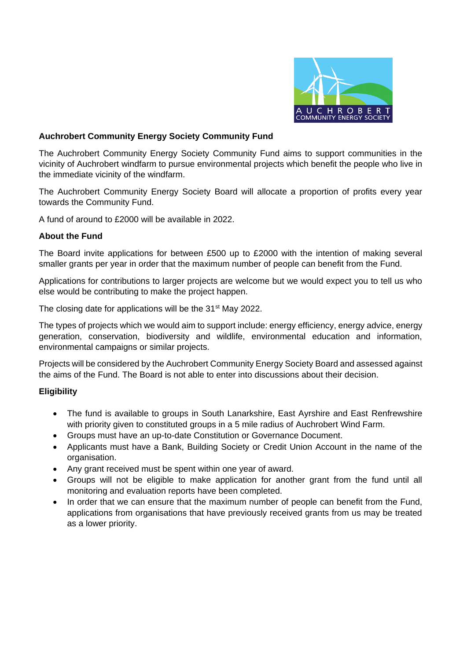

### **Auchrobert Community Energy Society Community Fund**

The Auchrobert Community Energy Society Community Fund aims to support communities in the vicinity of Auchrobert windfarm to pursue environmental projects which benefit the people who live in the immediate vicinity of the windfarm.

The Auchrobert Community Energy Society Board will allocate a proportion of profits every year towards the Community Fund.

A fund of around to £2000 will be available in 2022.

#### **About the Fund**

The Board invite applications for between £500 up to £2000 with the intention of making several smaller grants per year in order that the maximum number of people can benefit from the Fund.

Applications for contributions to larger projects are welcome but we would expect you to tell us who else would be contributing to make the project happen.

The closing date for applications will be the 31<sup>st</sup> May 2022.

The types of projects which we would aim to support include: energy efficiency, energy advice, energy generation, conservation, biodiversity and wildlife, environmental education and information, environmental campaigns or similar projects.

Projects will be considered by the Auchrobert Community Energy Society Board and assessed against the aims of the Fund. The Board is not able to enter into discussions about their decision.

### **Eligibility**

- The fund is available to groups in South Lanarkshire, East Ayrshire and East Renfrewshire with priority given to constituted groups in a 5 mile radius of Auchrobert Wind Farm.
- Groups must have an up-to-date Constitution or Governance Document.
- Applicants must have a Bank, Building Society or Credit Union Account in the name of the organisation.
- Any grant received must be spent within one year of award.
- Groups will not be eligible to make application for another grant from the fund until all monitoring and evaluation reports have been completed.
- In order that we can ensure that the maximum number of people can benefit from the Fund, applications from organisations that have previously received grants from us may be treated as a lower priority.